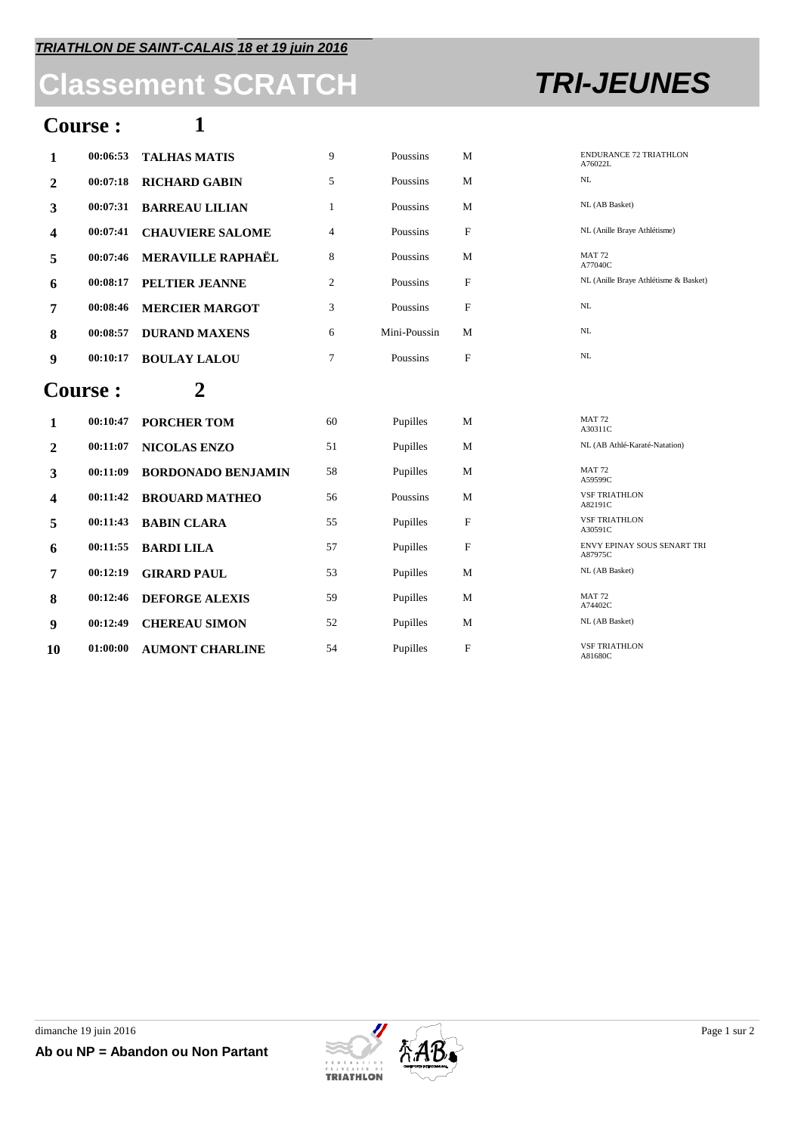## **Classement SCRATCH TRI-JEUNES**

### **Course : 1**

| $\mathbf{1}$   | 00:06:53 | <b>TALHAS MATIS</b>       | 9              | Poussins     | M           | <b>ENDURANCE 72 TRIATHLON</b><br>A76022L |
|----------------|----------|---------------------------|----------------|--------------|-------------|------------------------------------------|
| $\overline{2}$ | 00:07:18 | <b>RICHARD GABIN</b>      | 5              | Poussins     | M           | NL                                       |
| 3              | 00:07:31 | <b>BARREAU LILIAN</b>     | $\mathbf{1}$   | Poussins     | M           | NL (AB Basket)                           |
| 4              | 00:07:41 | <b>CHAUVIERE SALOME</b>   | 4              | Poussins     | $\mathbf F$ | NL (Anille Braye Athlétisme)             |
| 5              | 00:07:46 | <b>MERAVILLE RAPHAËL</b>  | 8              | Poussins     | M           | <b>MAT 72</b><br>A77040C                 |
| 6              | 00:08:17 | PELTIER JEANNE            | $\mathfrak{2}$ | Poussins     | $\mathbf F$ | NL (Anille Braye Athlétisme & Basket)    |
| 7              | 00:08:46 | <b>MERCIER MARGOT</b>     | 3              | Poussins     | F           | NL                                       |
| 8              | 00:08:57 | <b>DURAND MAXENS</b>      | 6              | Mini-Poussin | M           | NL                                       |
| 9              | 00:10:17 | <b>BOULAY LALOU</b>       | 7              | Poussins     | F           | NL                                       |
| <b>Course:</b> |          | 2                         |                |              |             |                                          |
| 1              | 00:10:47 |                           |                |              |             | <b>MAT 72</b>                            |
|                |          | <b>PORCHER TOM</b>        | 60             | Pupilles     | M           | A30311C                                  |
| $\mathbf{2}$   | 00:11:07 | <b>NICOLAS ENZO</b>       | 51             | Pupilles     | M           | NL (AB Athlé-Karaté-Natation)            |
| 3              | 00:11:09 | <b>BORDONADO BENJAMIN</b> | 58             | Pupilles     | M           | <b>MAT 72</b><br>A59599C                 |
| 4              | 00:11:42 | <b>BROUARD MATHEO</b>     | 56             | Poussins     | M           | <b>VSF TRIATHLON</b><br>A82191C          |
| 5              | 00:11:43 | <b>BABIN CLARA</b>        | 55             | Pupilles     | $\mathbf F$ | <b>VSF TRIATHLON</b><br>A30591C          |
| 6              | 00:11:55 | <b>BARDI LILA</b>         | 57             | Pupilles     | $\mathbf F$ | ENVY EPINAY SOUS SENART TRI<br>A87975C   |
| 7              | 00:12:19 | <b>GIRARD PAUL</b>        | 53             | Pupilles     | M           | NL (AB Basket)                           |
| 8              | 00:12:46 | <b>DEFORGE ALEXIS</b>     | 59             | Pupilles     | M           | <b>MAT 72</b><br>A74402C                 |
| 9              | 00:12:49 | <b>CHEREAU SIMON</b>      | 52             | Pupilles     | M           | NL (AB Basket)                           |